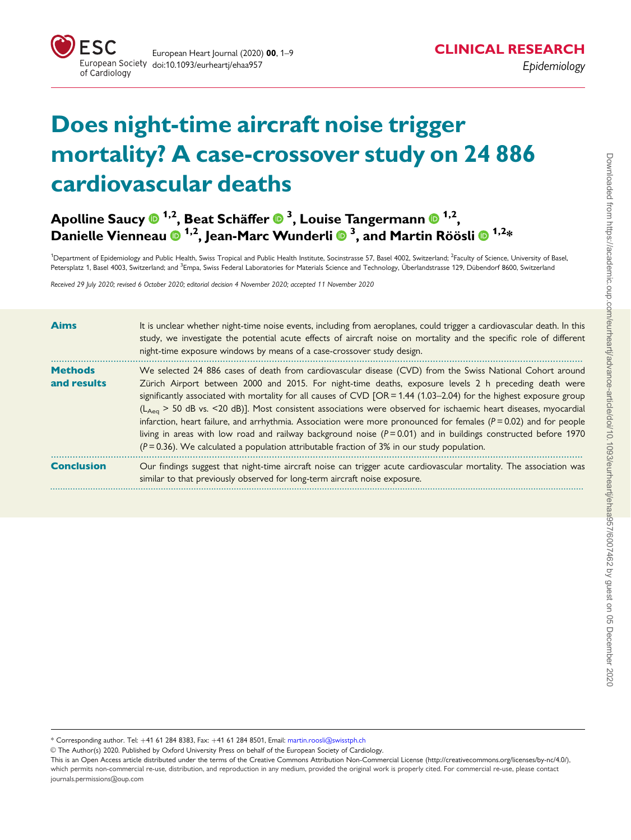

# Does night-time aircraft noise trigger mortality? A case-crossover study on 24 886 cardiovascular deaths

### Apolline Saucy ® <sup>1,2</sup>, Beat Schäffer ® <sup>3</sup>, Louise Tangermann ® <sup>1,2</sup>, Danielle Vienneau ® <sup>1,2</sup>, Jean-Marc Wunderli ® <sup>3</sup>, and Martin Röösli ® <sup>1,2</sup>\*

<sup>1</sup>Department of Epidemiology and Public Health, Swiss Tropical and Public Health Institute, Socinstrasse 57, Basel 4002, Switzerland; <sup>2</sup>Faculty of Science, University of Basel, Petersplatz 1, Basel 4003, Switzerland; and <sup>3</sup>Empa, Swiss Federal Laboratories for Materials Science and Technology, Überlandstrasse 129, Dübendorf 8600, Switzerland

Received 29 July 2020; revised 6 October 2020; editorial decision 4 November 2020; accepted 11 November 2020

| <b>Aims</b>                   | It is unclear whether night-time noise events, including from aeroplanes, could trigger a cardiovascular death. In this<br>study, we investigate the potential acute effects of aircraft noise on mortality and the specific role of different<br>night-time exposure windows by means of a case-crossover study design.                                                                                                                                                                                                                                                                                                                                                                                                                                                                                                  |
|-------------------------------|---------------------------------------------------------------------------------------------------------------------------------------------------------------------------------------------------------------------------------------------------------------------------------------------------------------------------------------------------------------------------------------------------------------------------------------------------------------------------------------------------------------------------------------------------------------------------------------------------------------------------------------------------------------------------------------------------------------------------------------------------------------------------------------------------------------------------|
| <b>Methods</b><br>and results | We selected 24 886 cases of death from cardiovascular disease (CVD) from the Swiss National Cohort around<br>Zürich Airport between 2000 and 2015. For night-time deaths, exposure levels 2 h preceding death were<br>significantly associated with mortality for all causes of CVD $[OR = 1.44 (1.03-2.04)$ for the highest exposure group<br>(L <sub>Aeq</sub> > 50 dB vs. <20 dB)]. Most consistent associations were observed for ischaemic heart diseases, myocardial<br>infarction, heart failure, and arrhythmia. Association were more pronounced for females ( $P = 0.02$ ) and for people<br>living in areas with low road and railway background noise $(P = 0.01)$ and in buildings constructed before 1970<br>$(P = 0.36)$ . We calculated a population attributable fraction of 3% in our study population. |
| <b>Conclusion</b>             | Our findings suggest that night-time aircraft noise can trigger acute cardiovascular mortality. The association was<br>similar to that previously observed for long-term aircraft noise exposure.                                                                                                                                                                                                                                                                                                                                                                                                                                                                                                                                                                                                                         |

.

V<sup>C</sup> The Author(s) 2020. Published by Oxford University Press on behalf of the European Society of Cardiology.

<sup>\*</sup> Corresponding author. Tel: +41 61 284 8383, Fax: +41 61 284 8501, Email: martin.roosli@swisstph.ch

This is an Open Access article distributed under the terms of the Creative Commons Attribution Non-Commercial License (http://creativecommons.org/licenses/by-nc/4.0/), which permits non-commercial re-use, distribution, and reproduction in any medium, provided the original work is properly cited. For commercial re-use, please contact journals.permissions@oup.com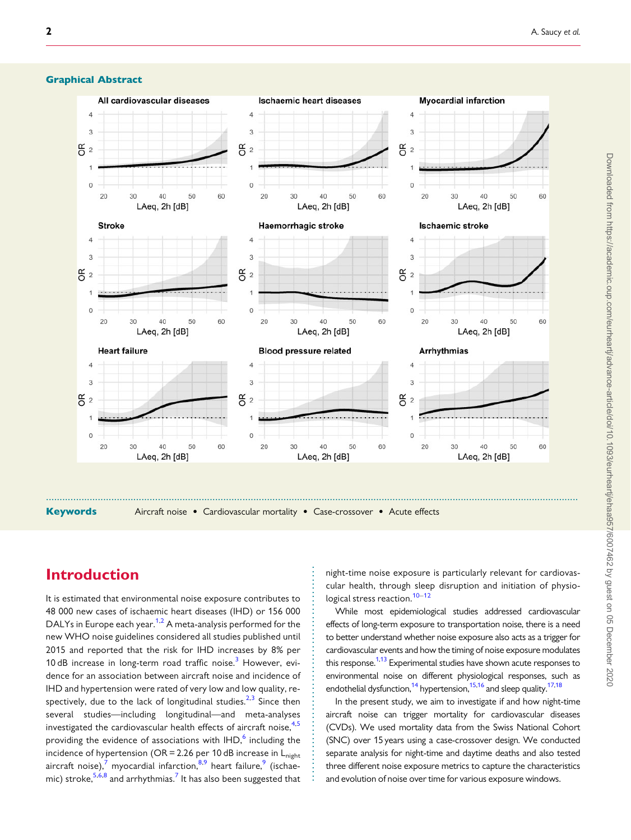#### Graphical Abstract



. . . . . . . . . . . . . . . . . . . . . . . . . . . . . . . . . . . . . . . . . . . . . . . . . . . .

Keywords Aircraft noise • Cardiovascular mortality • Case-crossover • Acute effects

### Introduction

It is estimated that environmental noise exposure contributes to 48 000 new cases of ischaemic heart diseases (IHD) or 156 000 DALYs in Europe each year.<sup>1,2</sup> A meta-analysis performed for the new WHO noise guidelines considered all studies published until 2015 and reported that the risk for IHD increases by 8% per 10 dB increase in long-term road traffic noise. $3$  However, evidence for an association between aircraft noise and incidence of IHD and hypertension were rated of very low and low quality, respectively, due to the lack of longitudinal studies. $2^{2,3}$  Since then several studies—including longitudinal—and meta-analyses investigated the cardiovascular health effects of aircraft noise, 4,5 providing the evidence of associations with  $IHD$ <sup>6</sup> including the incidence of hypertension ( $OR = 2.26$  per 10 dB increase in  $L<sub>night</sub>$ aircraft noise), $^7$  myocardial infarction, $^{8,9}$  heart failure, $^9$  (ischaemic) stroke,<sup>5,6,8</sup> and arrhythmias.<sup>7</sup> It has also been suggested that

night-time noise exposure is particularly relevant for cardiovascular health, through sleep disruption and initiation of physiological stress reaction.<sup>10–12</sup>

While most epidemiological studies addressed cardiovascular effects of long-term exposure to transportation noise, there is a need to better understand whether noise exposure also acts as a trigger for cardiovascular events and how the timing of noise exposure modulates this response.<sup>1,13</sup> Experimental studies have shown acute responses to environmental noise on different physiological responses, such as endothelial dysfunction,<sup>14</sup> hypertension,  $15,16$  and sleep quality.  $17,18$ 

In the present study, we aim to investigate if and how night-time aircraft noise can trigger mortality for cardiovascular diseases (CVDs). We used mortality data from the Swiss National Cohort (SNC) over 15 years using a case-crossover design. We conducted separate analysis for night-time and daytime deaths and also tested three different noise exposure metrics to capture the characteristics and evolution of noise over time for various exposure windows.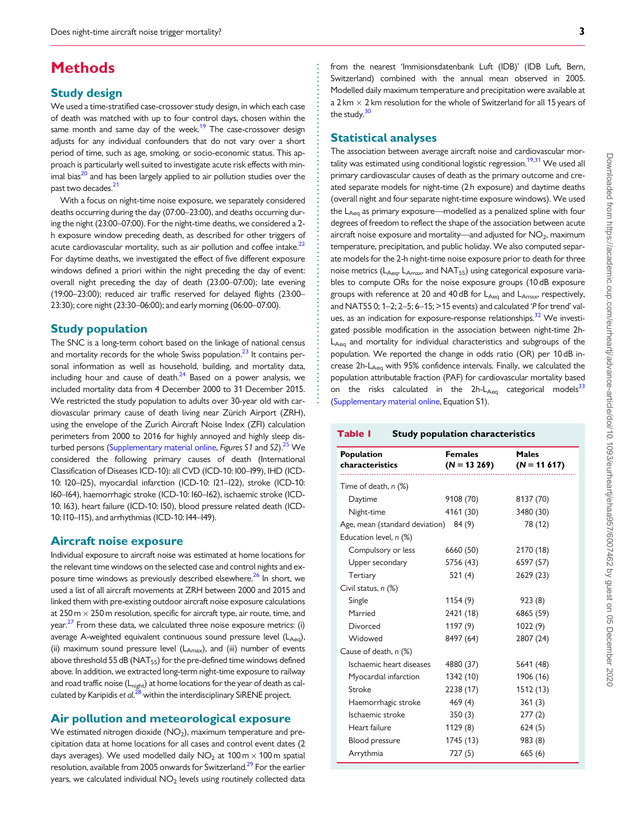### **Methods**

#### Study design

We used a time-stratified case-crossover study design, in which each case of death was matched with up to four control days, chosen within the same month and same day of the week.<sup>19</sup> The case-crossover design adjusts for any individual confounders that do not vary over a short period of time, such as age, smoking, or socio-economic status. This approach is particularly well suited to investigate acute risk effects with minimal bias $^{20}$  and has been largely applied to air pollution studies over the past two decades.<sup>21</sup>

With a focus on night-time noise exposure, we separately considered deaths occurring during the day (07:00–23:00), and deaths occurring during the night (23:00–07:00). For the night-time deaths, we considered a 2 h exposure window preceding death, as described for other triggers of acute cardiovascular mortality, such as air pollution and coffee intake. $^{22}$ For daytime deaths, we investigated the effect of five different exposure windows defined a priori within the night preceding the day of event: overall night preceding the day of death (23:00–07:00); late evening (19:00–23:00); reduced air traffic reserved for delayed flights (23:00– 23:30); core night (23:30–06:00); and early morning (06:00–07:00).

#### Study population

The SNC is a long-term cohort based on the linkage of national census and mortality records for the whole Swiss population. $^{23}$  It contains personal information as well as household, building, and mortality data, including hour and cause of death. $^{24}$  Based on a power analysis, we included mortality data from 4 December 2000 to 31 December 2015. We restricted the study population to adults over 30-year old with cardiovascular primary cause of death living near Zürich Airport (ZRH), using the envelope of the Zurich Aircraft Noise Index (ZFI) calculation perimeters from 2000 to 2016 for highly annoyed and highly sleep disturbed persons (Supplementary material online, Figures S1 and S2). $^{25}$  We considered the following primary causes of death (International Classification of Diseases ICD-10): all CVD (ICD-10: I00–I99), IHD (ICD-10: I20–I25), myocardial infarction (ICD-10: I21–I22), stroke (ICD-10: I60–I64), haemorrhagic stroke (ICD-10: I60–I62), ischaemic stroke (ICD-10: I63), heart failure (ICD-10: I50), blood pressure related death (ICD-10: I10–I15), and arrhythmias (ICD-10: I44–I49).

#### Aircraft noise exposure

Individual exposure to aircraft noise was estimated at home locations for the relevant time windows on the selected case and control nights and exposure time windows as previously described elsewhere.<sup>26</sup> In short, we used a list of all aircraft movements at ZRH between 2000 and 2015 and linked them with pre-existing outdoor aircraft noise exposure calculations at 250 m  $\times$  250 m resolution, specific for aircraft type, air route, time, and year. $27$  From these data, we calculated three noise exposure metrics: (i) average A-weighted equivalent continuous sound pressure level  $(L_{Aeq})$ , (ii) maximum sound pressure level  $(L_{Amax})$ , and (iii) number of events above threshold 55 dB ( $NAT<sub>55</sub>$ ) for the pre-defined time windows defined above. In addition, we extracted long-term night-time exposure to railway and road traffic noise  $(L_{night})$  at home locations for the year of death as calculated by Karipidis et al.<sup>28</sup> within the interdisciplinary SiRENE project.

#### Air pollution and meteorological exposure

We estimated nitrogen dioxide  $(NO<sub>2</sub>)$ , maximum temperature and precipitation data at home locations for all cases and control event dates (2 days averages). We used modelled daily  $\rm{NO_2}$  at 100 m  $\times$  100 m spatial resolution, available from 2005 onwards for Switzerland.<sup>29</sup> For the earlier years, we calculated individual  $NO<sub>2</sub>$  levels using routinely collected data

from the nearest 'Immisionsdatenbank Luft (IDB)' (IDB Luft, Bern, Switzerland) combined with the annual mean observed in 2005. Modelled daily maximum temperature and precipitation were available at a 2 km  $\times$  2 km resolution for the whole of Switzerland for all 15 years of the study. $30$ 

#### Statistical analyses

. . . . . . . . . . . . . . . . . . . . . . . . . . . . . . . . . . . . . . . . . . . . . . . . . . . . . . . . . . . . . . . . . . . . . . . . . . . . . . . . .

The association between average aircraft noise and cardiovascular mortality was estimated using conditional logistic regression.<sup>19,31</sup> We used all primary cardiovascular causes of death as the primary outcome and created separate models for night-time (2 h exposure) and daytime deaths (overall night and four separate night-time exposure windows). We used the  $L_{Aea}$  as primary exposure—modelled as a penalized spline with four degrees of freedom to reflect the shape of the association between acute aircraft noise exposure and mortality—and adjusted for  $NO<sub>2</sub>$ , maximum temperature, precipitation, and public holiday. We also computed separate models for the 2-h night-time noise exposure prior to death for three noise metrics ( $L_{Aea}$ ,  $L_{Amax}$ , and  $NAT_{55}$ ) using categorical exposure variables to compute ORs for the noise exposure groups (10 dB exposure groups with reference at 20 and 40 dB for  $L_{Aeq}$  and  $L_{Amax}$ , respectively, and NAT55 0; 1–2; 2–5; 6–15; >15 events) and calculated 'P for trend' values, as an indication for exposure-response relationships. $32$  We investigated possible modification in the association between night-time 2h-L<sub>Aeq</sub> and mortality for individual characteristics and subgroups of the population. We reported the change in odds ratio (OR) per 10 dB increase  $2h-L_{Aea}$  with 95% confidence intervals. Finally, we calculated the population attributable fraction (PAF) for cardiovascular mortality based on the risks calculated in the  $2h-L_{Aeq}$  categorical models<sup>33</sup> (Supplementary material online, Equation S1).

| Table I<br><b>Study population characteristics</b> |                                 |                               |  |  |  |  |
|----------------------------------------------------|---------------------------------|-------------------------------|--|--|--|--|
| Population<br>characteristics                      | <b>Females</b><br>$(N = 13269)$ | <b>Males</b><br>$(N = 11617)$ |  |  |  |  |
| Time of death, n (%)                               |                                 |                               |  |  |  |  |
| Daytime                                            | 9108 (70)                       | 8137 (70)                     |  |  |  |  |
| Night-time                                         | 4161 (30)                       | 3480 (30)                     |  |  |  |  |
| Age, mean (standard deviation) 84 (9)              |                                 | 78 (12)                       |  |  |  |  |
| Education level, n (%)                             |                                 |                               |  |  |  |  |
| Compulsory or less                                 | 6660 (50)                       | 2170 (18)                     |  |  |  |  |
| Upper secondary                                    | 5756 (43)                       | 6597 (57)                     |  |  |  |  |
| Tertiary                                           | 521(4)                          | 2629 (23)                     |  |  |  |  |
| Civil status, n (%)                                |                                 |                               |  |  |  |  |
| Single                                             | 1154 (9)                        | 923(8)                        |  |  |  |  |
| Married                                            | 2421 (18)                       | 6865 (59)                     |  |  |  |  |
| Divorced                                           | 1197 (9)                        | 1022(9)                       |  |  |  |  |
| Widowed                                            | 8497 (64)                       | 2807 (24)                     |  |  |  |  |
| Cause of death, n (%)                              |                                 |                               |  |  |  |  |
| Ischaemic heart diseases                           | 4880 (37)                       | 5641 (48)                     |  |  |  |  |
| Myocardial infarction                              | 1342 (10)                       | 1906 (16)                     |  |  |  |  |
| Stroke                                             | 2238 (17)                       | 1512 (13)                     |  |  |  |  |
| Haemorrhagic stroke                                | 469(4)                          | 361(3)                        |  |  |  |  |
| Ischaemic stroke                                   | 350(3)                          | 277(2)                        |  |  |  |  |
| Heart failure                                      | 1129 (8)                        | 624(5)                        |  |  |  |  |
| Blood pressure                                     | 1745 (13)                       | 983 (8)                       |  |  |  |  |
| Arrythmia                                          | 727 (5)                         | 665(6)                        |  |  |  |  |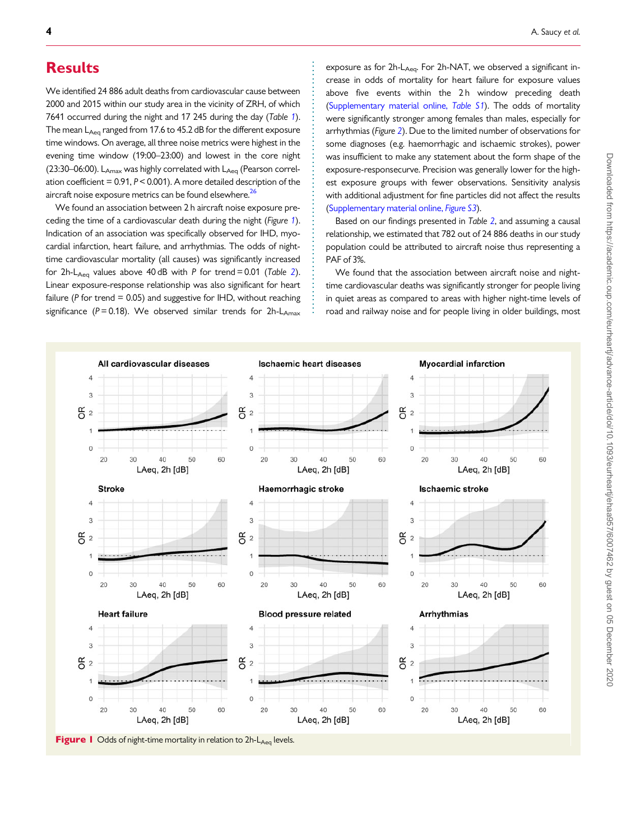## **Results**

We identified 24 886 adult deaths from cardiovascular cause between 2000 and 2015 within our study area in the vicinity of ZRH, of which 7641 occurred during the night and 17 245 during the day (Table 1). The mean  $L_{Aeq}$  ranged from 17.6 to 45.2 dB for the different exposure time windows. On average, all three noise metrics were highest in the evening time window (19:00–23:00) and lowest in the core night (23:30–06:00).  $L_{\text{Amax}}$  was highly correlated with  $L_{\text{Aea}}$  (Pearson correlation coefficient =  $0.91$ ,  $P < 0.001$ ). A more detailed description of the aircraft noise exposure metrics can be found elsewhere.<sup>26</sup>

We found an association between 2 h aircraft noise exposure preceding the time of a cardiovascular death during the night (Figure 1). Indication of an association was specifically observed for IHD, myocardial infarction, heart failure, and arrhythmias. The odds of nighttime cardiovascular mortality (all causes) was significantly increased for 2h-L<sub>Aeq</sub> values above 40 dB with P for trend = 0.01 (Table 2). Linear exposure-response relationship was also significant for heart failure ( $P$  for trend = 0.05) and suggestive for IHD, without reaching significance ( $P = 0.18$ ). We observed similar trends for 2h-L<sub>Amax</sub>

exposure as for  $2h-L<sub>Aec</sub>$ . For  $2h-NAT$ , we observed a significant increase in odds of mortality for heart failure for exposure values above five events within the 2h window preceding death (Supplementary material online, Table S1). The odds of mortality were significantly stronger among females than males, especially for arrhythmias (Figure 2). Due to the limited number of observations for some diagnoses (e.g. haemorrhagic and ischaemic strokes), power was insufficient to make any statement about the form shape of the exposure-responsecurve. Precision was generally lower for the highest exposure groups with fewer observations. Sensitivity analysis with additional adjustment for fine particles did not affect the results (Supplementary material online, Figure S3).

Based on our findings presented in Table 2, and assuming a causal relationship, we estimated that 782 out of 24 886 deaths in our study population could be attributed to aircraft noise thus representing a PAF of 3%.

We found that the association between aircraft noise and nighttime cardiovascular deaths was significantly stronger for people living in quiet areas as compared to areas with higher night-time levels of road and railway noise and for people living in older buildings, most



. . . . . . . . . . . . . . . . . . . . . . . . . . . . . . . . . . . . . . . . . . . . . . . . . . . . . . . . . . . .

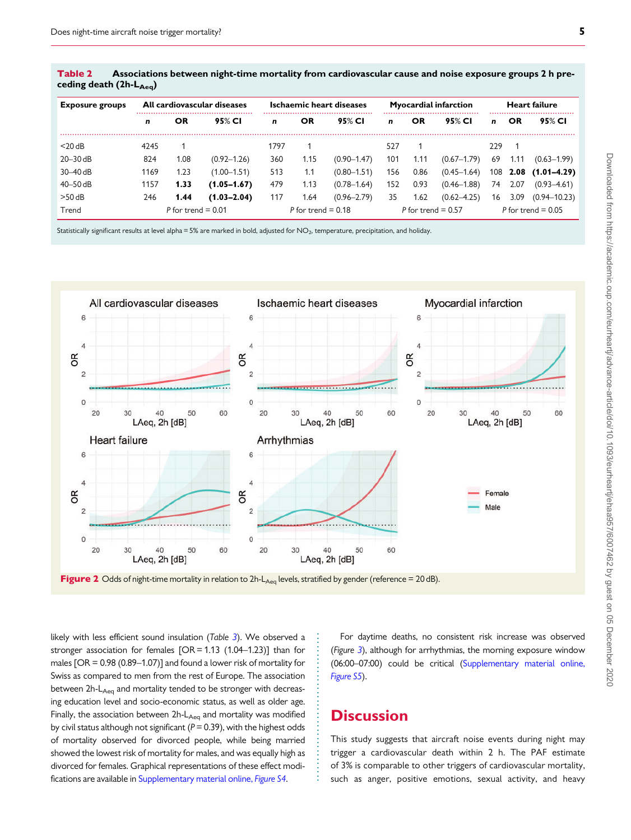Table 2 Associations between night-time mortality from cardiovascular cause and noise exposure groups 2 h preceding death (2h-LAeq)

| <b>Exposure groups</b> | All cardiovascular diseases |           | Ischaemic heart diseases |      | <b>Myocardial infarction</b> |                 |     | Heart failure        |                 |     |      |                  |
|------------------------|-----------------------------|-----------|--------------------------|------|------------------------------|-----------------|-----|----------------------|-----------------|-----|------|------------------|
|                        | n                           | <b>OR</b> | 95% CI                   | n    | OR                           | 95% CI          | n   | OR                   | 95% CI          | n   | OR   | 95% CI           |
| $<$ 20 dB              | 4245                        |           |                          | 1797 |                              |                 | 527 |                      |                 | 229 |      |                  |
| $20 - 30$ dB           | 824                         | 1.08      | $(0.92 - 1.26)$          | 360  | 1.15                         | $(0.90 - 1.47)$ | 101 | 1.11                 | $(0.67 - 1.79)$ | 69  | 1.11 | $(0.63 - 1.99)$  |
| $30-40$ dB             | 1169                        | 1.23      | $(1.00 - 1.51)$          | 513  | 1.1                          | $(0.80 - 1.51)$ | 156 | 0.86                 | $(0.45 - 1.64)$ | 108 | 2.08 | $(1.01 - 4.29)$  |
| 40-50 dB               | 1157                        | 1.33      | $(1.05 - 1.67)$          | 479  | 1.13                         | $(0.78 - 1.64)$ | 152 | 0.93                 | $(0.46 - 1.88)$ | 74  | 2.07 | $(0.93 - 4.61)$  |
| $>50$ dB               | 246                         | 1.44      | $(1.03 - 2.04)$          | 117  | 1.64                         | $(0.96 - 2.79)$ | 35  | 1.62                 | $(0.62 - 4.25)$ | 16  | 3.09 | $(0.94 - 10.23)$ |
| Trend                  | P for trend $= 0.01$        |           | P for trend $= 0.18$     |      | P for trend $= 0.57$         |                 |     | P for trend $= 0.05$ |                 |     |      |                  |

Statistically significant results at level alpha = 5% are marked in bold, adjusted for  $NO_2$ , temperature, precipitation, and holiday.



Figure 2 Odds of night-time mortality in relation to  $2h-L_{Aed}$  levels, stratified by gender (reference = 20 dB).

likely with less efficient sound insulation (Table  $3$ ). We observed a stronger association for females [OR = 1.13 (1.04–1.23)] than for males [OR = 0.98 (0.89–1.07)] and found a lower risk of mortality for Swiss as compared to men from the rest of Europe. The association between 2h-L<sub>Aeq</sub> and mortality tended to be stronger with decreasing education level and socio-economic status, as well as older age. Finally, the association between  $2h-L_{Aeq}$  and mortality was modified by civil status although not significant ( $P = 0.39$ ), with the highest odds of mortality observed for divorced people, while being married showed the lowest risk of mortality for males, and was equally high as divorced for females. Graphical representations of these effect modifications are available in Supplementary material online, Figure S4.

For daytime deaths, no consistent risk increase was observed (Figure 3), although for arrhythmias, the morning exposure window (06:00–07:00) could be critical (Supplementary material online, Figure S5).

### **Discussion**

. . . . . . . . . . . . . . . . . . . . . . . . . . . . . . . . . . .

This study suggests that aircraft noise events during night may trigger a cardiovascular death within 2 h. The PAF estimate of 3% is comparable to other triggers of cardiovascular mortality, such as anger, positive emotions, sexual activity, and heavy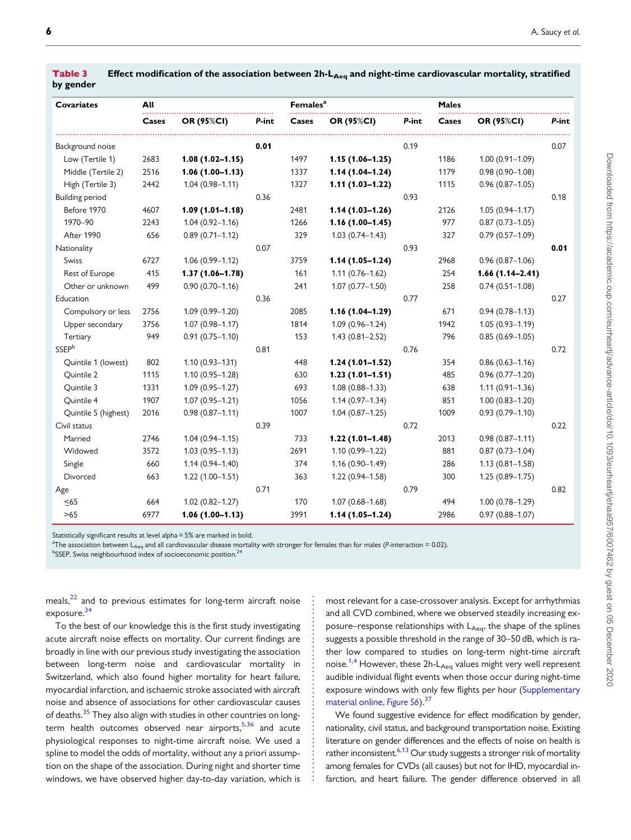| <b>OR (95%CI)</b><br><b>OR (95%CI)</b><br>P-int<br>OR (95%CI)<br>P-int<br>Cases<br>Cases<br>Cases<br>Background noise<br>0.01<br>0.19<br>2683<br>1497<br>1186<br>$1.08(1.02 - 1.15)$<br>$1.15(1.06 - 1.25)$<br>$1.00(0.91 - 1.09)$<br>Low (Tertile 1)<br>2516<br>Middle (Tertile 2)<br>$1.06(1.00 - 1.13)$<br>1337<br>$1.14(1.04 - 1.24)$<br>1179<br>$0.98(0.90 - 1.08)$<br>High (Tertile 3)<br>2442<br>$1.04(0.98 - 1.11)$<br>1327<br>$1.11(1.03 - 1.22)$<br>$0.96(0.87 - 1.05)$<br>1115<br>0.93<br><b>Building period</b><br>0.36<br>Before 1970<br>4607<br>2481<br>$1.14(1.03 - 1.26)$<br>2126<br>$1.09(1.01 - 1.18)$<br>$1.05(0.94 - 1.17)$<br>1970-90<br>2243<br>$1.04(0.92 - 1.16)$<br>1266<br>$1.16(1.00-1.45)$<br>977<br>$0.87(0.73 - 1.05)$<br>After 1990<br>656<br>$0.89(0.71 - 1.12)$<br>329<br>$1.03(0.74 - 1.43)$<br>$0.79(0.57 - 1.09)$<br>327<br>Nationality<br>0.07<br>0.93<br>Swiss<br>6727<br>$1.06(0.99 - 1.12)$<br>3759<br>$1.14(1.05 - 1.24)$<br>2968<br>$0.96(0.87 - 1.06)$<br>Rest of Europe<br>415<br>254<br>$1.37(1.06 - 1.78)$<br>161<br>$1.11(0.76 - 1.62)$ | <b>Males</b>      |  |  |  |
|----------------------------------------------------------------------------------------------------------------------------------------------------------------------------------------------------------------------------------------------------------------------------------------------------------------------------------------------------------------------------------------------------------------------------------------------------------------------------------------------------------------------------------------------------------------------------------------------------------------------------------------------------------------------------------------------------------------------------------------------------------------------------------------------------------------------------------------------------------------------------------------------------------------------------------------------------------------------------------------------------------------------------------------------------------------------------------------|-------------------|--|--|--|
|                                                                                                                                                                                                                                                                                                                                                                                                                                                                                                                                                                                                                                                                                                                                                                                                                                                                                                                                                                                                                                                                                        | P-int             |  |  |  |
|                                                                                                                                                                                                                                                                                                                                                                                                                                                                                                                                                                                                                                                                                                                                                                                                                                                                                                                                                                                                                                                                                        | 0.07              |  |  |  |
|                                                                                                                                                                                                                                                                                                                                                                                                                                                                                                                                                                                                                                                                                                                                                                                                                                                                                                                                                                                                                                                                                        |                   |  |  |  |
|                                                                                                                                                                                                                                                                                                                                                                                                                                                                                                                                                                                                                                                                                                                                                                                                                                                                                                                                                                                                                                                                                        |                   |  |  |  |
|                                                                                                                                                                                                                                                                                                                                                                                                                                                                                                                                                                                                                                                                                                                                                                                                                                                                                                                                                                                                                                                                                        |                   |  |  |  |
|                                                                                                                                                                                                                                                                                                                                                                                                                                                                                                                                                                                                                                                                                                                                                                                                                                                                                                                                                                                                                                                                                        | 0.18              |  |  |  |
|                                                                                                                                                                                                                                                                                                                                                                                                                                                                                                                                                                                                                                                                                                                                                                                                                                                                                                                                                                                                                                                                                        |                   |  |  |  |
|                                                                                                                                                                                                                                                                                                                                                                                                                                                                                                                                                                                                                                                                                                                                                                                                                                                                                                                                                                                                                                                                                        |                   |  |  |  |
|                                                                                                                                                                                                                                                                                                                                                                                                                                                                                                                                                                                                                                                                                                                                                                                                                                                                                                                                                                                                                                                                                        |                   |  |  |  |
|                                                                                                                                                                                                                                                                                                                                                                                                                                                                                                                                                                                                                                                                                                                                                                                                                                                                                                                                                                                                                                                                                        | 0.01              |  |  |  |
|                                                                                                                                                                                                                                                                                                                                                                                                                                                                                                                                                                                                                                                                                                                                                                                                                                                                                                                                                                                                                                                                                        |                   |  |  |  |
|                                                                                                                                                                                                                                                                                                                                                                                                                                                                                                                                                                                                                                                                                                                                                                                                                                                                                                                                                                                                                                                                                        | $1.66(1.14-2.41)$ |  |  |  |
| 499<br>258<br>Other or unknown<br>$0.90(0.70 - 1.16)$<br>241<br>$1.07(0.77 - 1.50)$<br>$0.74(0.51 - 1.08)$                                                                                                                                                                                                                                                                                                                                                                                                                                                                                                                                                                                                                                                                                                                                                                                                                                                                                                                                                                             |                   |  |  |  |
| 0.36<br>0.77<br>Education                                                                                                                                                                                                                                                                                                                                                                                                                                                                                                                                                                                                                                                                                                                                                                                                                                                                                                                                                                                                                                                              | 0.27              |  |  |  |
| Compulsory or less<br>2756<br>2085<br>$1.16(1.04 - 1.29)$<br>671<br>$0.94(0.78 - 1.13)$<br>$1.09(0.99 - 1.20)$                                                                                                                                                                                                                                                                                                                                                                                                                                                                                                                                                                                                                                                                                                                                                                                                                                                                                                                                                                         |                   |  |  |  |
| 3756<br>Upper secondary<br>1814<br>$1.09(0.96 - 1.24)$<br>1942<br>$1.07(0.98 - 1.17)$<br>$1.05(0.93 - 1.19)$                                                                                                                                                                                                                                                                                                                                                                                                                                                                                                                                                                                                                                                                                                                                                                                                                                                                                                                                                                           |                   |  |  |  |
| 949<br>$0.91(0.75 - 1.10)$<br>153<br>$1.43(0.81 - 2.52)$<br>796<br>$0.85(0.69 - 1.05)$<br>Tertiary                                                                                                                                                                                                                                                                                                                                                                                                                                                                                                                                                                                                                                                                                                                                                                                                                                                                                                                                                                                     |                   |  |  |  |
| $SSEP^b$<br>0.81<br>0.76                                                                                                                                                                                                                                                                                                                                                                                                                                                                                                                                                                                                                                                                                                                                                                                                                                                                                                                                                                                                                                                               | 0.72              |  |  |  |
| 802<br>354<br>Quintile 1 (lowest)<br>$1.10(0.93 - 131)$<br>448<br>$1.24(1.01 - 1.52)$<br>$0.86(0.63 - 1.16)$                                                                                                                                                                                                                                                                                                                                                                                                                                                                                                                                                                                                                                                                                                                                                                                                                                                                                                                                                                           |                   |  |  |  |
| Quintile 2<br>1115<br>$1.23(1.01 - 1.51)$<br>$1.10(0.95 - 1.28)$<br>630<br>485<br>$0.96(0.77-1.20)$                                                                                                                                                                                                                                                                                                                                                                                                                                                                                                                                                                                                                                                                                                                                                                                                                                                                                                                                                                                    |                   |  |  |  |
| Quintile 3<br>1331<br>693<br>$1.09(0.95 - 1.27)$<br>$1.08(0.88 - 1.33)$<br>638<br>$1.11(0.91 - 1.36)$                                                                                                                                                                                                                                                                                                                                                                                                                                                                                                                                                                                                                                                                                                                                                                                                                                                                                                                                                                                  |                   |  |  |  |
| Quintile 4<br>1907<br>851<br>$1.07(0.95 - 1.21)$<br>1056<br>$1.14(0.97 - 1.34)$<br>$1.00(0.83 - 1.20)$                                                                                                                                                                                                                                                                                                                                                                                                                                                                                                                                                                                                                                                                                                                                                                                                                                                                                                                                                                                 |                   |  |  |  |
| Quintile 5 (highest)<br>2016<br>$0.98(0.87 - 1.11)$<br>1007<br>$1.04(0.87 - 1.25)$<br>1009<br>$0.93(0.79 - 1.10)$                                                                                                                                                                                                                                                                                                                                                                                                                                                                                                                                                                                                                                                                                                                                                                                                                                                                                                                                                                      |                   |  |  |  |
| 0.72<br>Civil status<br>0.39                                                                                                                                                                                                                                                                                                                                                                                                                                                                                                                                                                                                                                                                                                                                                                                                                                                                                                                                                                                                                                                           | 0.22              |  |  |  |
| Married<br>2746<br>733<br>2013<br>$1.04(0.94 - 1.15)$<br>$1.22(1.01 - 1.48)$<br>$0.98(0.87 - 1.11)$                                                                                                                                                                                                                                                                                                                                                                                                                                                                                                                                                                                                                                                                                                                                                                                                                                                                                                                                                                                    |                   |  |  |  |
| Widowed<br>3572<br>$1.03(0.95 - 1.13)$<br>2691<br>$1.10(0.99 - 1.22)$<br>881<br>$0.87(0.73 - 1.04)$                                                                                                                                                                                                                                                                                                                                                                                                                                                                                                                                                                                                                                                                                                                                                                                                                                                                                                                                                                                    |                   |  |  |  |
| 660<br>$1.14(0.94 - 1.40)$<br>374<br>$1.16(0.90 - 1.49)$<br>286<br>$1.13(0.81 - 1.58)$<br>Single                                                                                                                                                                                                                                                                                                                                                                                                                                                                                                                                                                                                                                                                                                                                                                                                                                                                                                                                                                                       |                   |  |  |  |
| $1.22(1.00-1.51)$<br>363<br>$1.22(0.94 - 1.58)$<br>$1.25(0.89 - 1.75)$<br>Divorced<br>663<br>300                                                                                                                                                                                                                                                                                                                                                                                                                                                                                                                                                                                                                                                                                                                                                                                                                                                                                                                                                                                       |                   |  |  |  |
| 0.71<br>0.79<br>Age                                                                                                                                                                                                                                                                                                                                                                                                                                                                                                                                                                                                                                                                                                                                                                                                                                                                                                                                                                                                                                                                    | 0.82              |  |  |  |
| $1.02(0.82 - 1.27)$<br>$1.07(0.68 - 1.68)$<br>664<br>170<br>494<br>$1.00(0.78 - 1.29)$<br>$\leq 65$                                                                                                                                                                                                                                                                                                                                                                                                                                                                                                                                                                                                                                                                                                                                                                                                                                                                                                                                                                                    |                   |  |  |  |
| >65<br>6977<br>$1.06(1.00-1.13)$<br>$1.14(1.05 - 1.24)$<br>$0.97(0.88 - 1.07)$<br>3991<br>2986                                                                                                                                                                                                                                                                                                                                                                                                                                                                                                                                                                                                                                                                                                                                                                                                                                                                                                                                                                                         |                   |  |  |  |

. . . . . . . . . . . . . . . . . . . . . . . . . . . . . . . . . . . . . . . . . . . .

Table 3 Effect modification of the association between 2h-L<sub>Aeq</sub> and night-time cardiovascular mortality, stratified by gender

Statistically significant results at level alpha = 5% are marked in bold.

<sup>a</sup>The association between L<sub>Aeq</sub> and all cardiovascular disease mortality with stronger for females than for males (P-interaction = 0.02).<br><sup>b</sup>SSEP Swiss peigbbourbood index of socioeconomic position <sup>24</sup>

<sup>b</sup>SSEP, Swiss neighbourhood index of socioeconomic position.<sup>2</sup>

meals, $^{22}$  and to previous estimates for long-term aircraft noise exposure.<sup>34</sup>

To the best of our knowledge this is the first study investigating acute aircraft noise effects on mortality. Our current findings are broadly in line with our previous study investigating the association between long-term noise and cardiovascular mortality in Switzerland, which also found higher mortality for heart failure, myocardial infarction, and ischaemic stroke associated with aircraft noise and absence of associations for other cardiovascular causes of deaths.<sup>35</sup> They also align with studies in other countries on longterm health outcomes observed near airports, $5,36$  and acute physiological responses to night-time aircraft noise. We used a spline to model the odds of mortality, without any a priori assumption on the shape of the association. During night and shorter time windows, we have observed higher day-to-day variation, which is most relevant for a case-crossover analysis. Except for arrhythmias and all CVD combined, where we observed steadily increasing exposure–response relationships with L<sub>Aeq</sub>, the shape of the splines suggests a possible threshold in the range of 30–50 dB, which is rather low compared to studies on long-term night-time aircraft noise.<sup>1,4</sup> However, these 2h- $L_{Aeq}$  values might very well represent audible individual flight events when those occur during night-time exposure windows with only few flights per hour (Supplementary material online, Figure S6).<sup>37</sup>

We found suggestive evidence for effect modification by gender, nationality, civil status, and background transportation noise. Existing literature on gender differences and the effects of noise on health is rather inconsistent.<sup>6,13</sup> Our study suggests a stronger risk of mortality among females for CVDs (all causes) but not for IHD, myocardial infarction, and heart failure. The gender difference observed in all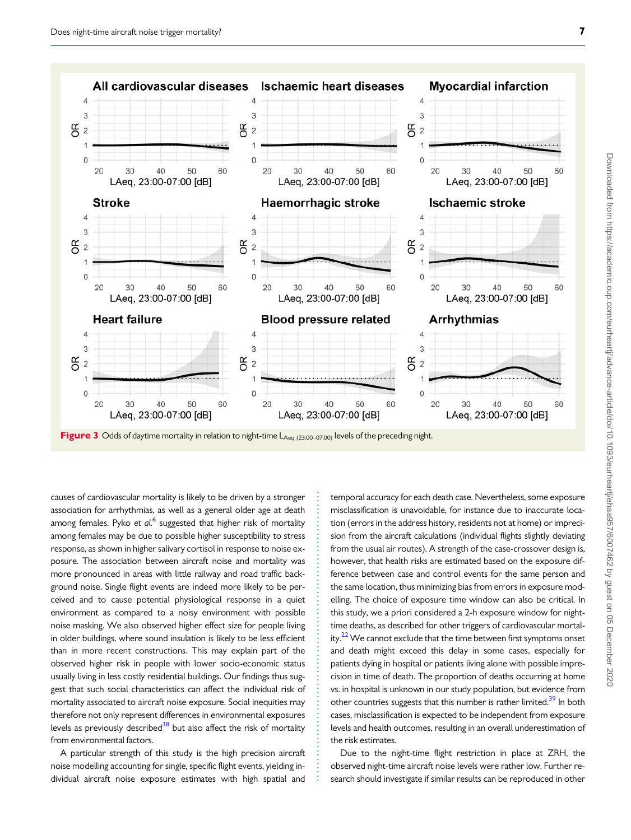

. . . . . . . . . . . . . . . . . . . . . . . . . . . . . . . . . . . . . . . . . . . . . . . . . . . . . . . . . . . . . . . . . . . . .

Figure 3 Odds of daytime mortality in relation to night-time  $L_{A_{eq}}$  (23:00–07:00) levels of the preceding night.

. causes of cardiovascular mortality is likely to be driven by a stronger association for arrhythmias, as well as a general older age at death among females. Pyko et al.<sup>6</sup> suggested that higher risk of mortality among females may be due to possible higher susceptibility to stress response, as shown in higher salivary cortisol in response to noise exposure. The association between aircraft noise and mortality was more pronounced in areas with little railway and road traffic background noise. Single flight events are indeed more likely to be perceived and to cause potential physiological response in a quiet environment as compared to a noisy environment with possible noise masking. We also observed higher effect size for people living in older buildings, where sound insulation is likely to be less efficient than in more recent constructions. This may explain part of the observed higher risk in people with lower socio-economic status usually living in less costly residential buildings. Our findings thus suggest that such social characteristics can affect the individual risk of mortality associated to aircraft noise exposure. Social inequities may therefore not only represent differences in environmental exposures levels as previously described $38$  but also affect the risk of mortality from environmental factors.

A particular strength of this study is the high precision aircraft noise modelling accounting for single, specific flight events, yielding individual aircraft noise exposure estimates with high spatial and

temporal accuracy for each death case. Nevertheless, some exposure misclassification is unavoidable, for instance due to inaccurate location (errors in the address history, residents not at home) or imprecision from the aircraft calculations (individual flights slightly deviating from the usual air routes). A strength of the case-crossover design is, however, that health risks are estimated based on the exposure difference between case and control events for the same person and the same location, thus minimizing bias from errors in exposure modelling. The choice of exposure time window can also be critical. In this study, we a priori considered a 2-h exposure window for nighttime deaths, as described for other triggers of cardiovascular mortality. $22$  We cannot exclude that the time between first symptoms onset and death might exceed this delay in some cases, especially for patients dying in hospital or patients living alone with possible imprecision in time of death. The proportion of deaths occurring at home vs. in hospital is unknown in our study population, but evidence from other countries suggests that this number is rather limited.<sup>39</sup> In both cases, misclassification is expected to be independent from exposure levels and health outcomes, resulting in an overall underestimation of the risk estimates.

Due to the night-time flight restriction in place at ZRH, the observed night-time aircraft noise levels were rather low. Further research should investigate if similar results can be reproduced in other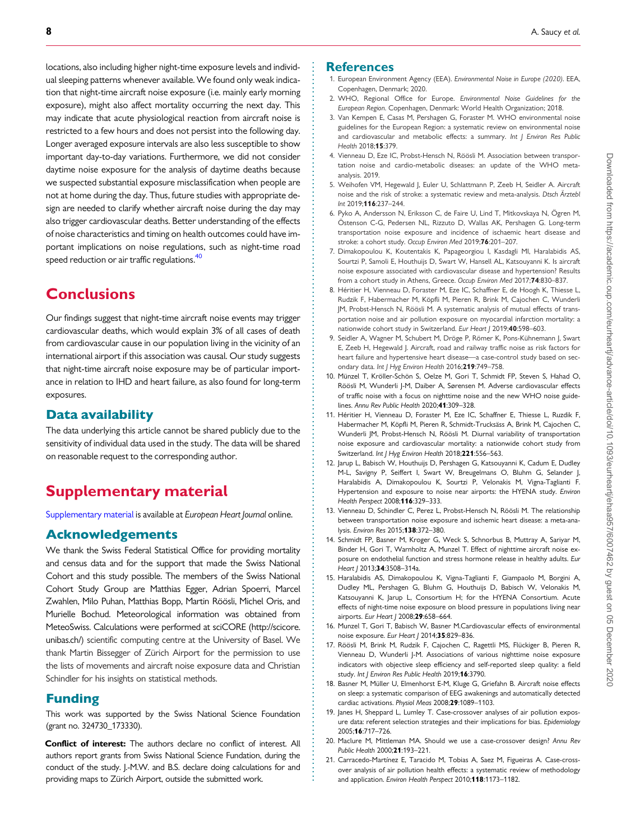. locations, also including higher night-time exposure levels and individual sleeping patterns whenever available. We found only weak indication that night-time aircraft noise exposure (i.e. mainly early morning exposure), might also affect mortality occurring the next day. This may indicate that acute physiological reaction from aircraft noise is restricted to a few hours and does not persist into the following day. Longer averaged exposure intervals are also less susceptible to show important day-to-day variations. Furthermore, we did not consider daytime noise exposure for the analysis of daytime deaths because we suspected substantial exposure misclassification when people are not at home during the day. Thus, future studies with appropriate design are needed to clarify whether aircraft noise during the day may also trigger cardiovascular deaths. Better understanding of the effects of noise characteristics and timing on health outcomes could have important implications on noise regulations, such as night-time road speed reduction or air traffic regulations.<sup>40</sup>

### **Conclusions**

Our findings suggest that night-time aircraft noise events may trigger cardiovascular deaths, which would explain 3% of all cases of death from cardiovascular cause in our population living in the vicinity of an international airport if this association was causal. Our study suggests that night-time aircraft noise exposure may be of particular importance in relation to IHD and heart failure, as also found for long-term exposures.

#### Data availability

The data underlying this article cannot be shared publicly due to the sensitivity of individual data used in the study. The data will be shared on reasonable request to the corresponding author.

### Supplementary material

Supplementary material is available at European Heart Journal online.

#### Acknowledgements

We thank the Swiss Federal Statistical Office for providing mortality and census data and for the support that made the Swiss National Cohort and this study possible. The members of the Swiss National Cohort Study Group are Matthias Egger, Adrian Spoerri, Marcel Zwahlen, Milo Puhan, Matthias Bopp, Martin Röösli, Michel Oris, and Murielle Bochud. Meteorological information was obtained from MeteoSwiss. Calculations were performed at sciCORE (http://scicore. unibas.ch/) scientific computing centre at the University of Basel. We thank Martin Bissegger of Zürich Airport for the permission to use the lists of movements and aircraft noise exposure data and Christian Schindler for his insights on statistical methods.

#### Funding

This work was supported by the Swiss National Science Foundation (grant no. 324730\_173330).

Conflict of interest: The authors declare no conflict of interest. All authors report grants from Swiss National Science Fundation, during the conduct of the study. J.-M.W. and B.S. declare doing calculations for and providing maps to Zürich Airport, outside the submitted work.

#### **References**

- 1. European Environment Agency (EEA). Environmental Noise in Europe (2020). EEA, Copenhagen, Denmark; 2020.
- 2. WHO, Regional Office for Europe. Environmental Noise Guidelines for the European Region. Copenhagen, Denmark: World Health Organization; 2018.
- 3. Van Kempen E, Casas M, Pershagen G, Foraster M. WHO environmental noise guidelines for the European Region: a systematic review on environmental noise and cardiovascular and metabolic effects: a summary. Int | Environ Res Public Health 2018;15:379.
- 4. Vienneau D, Eze IC, Probst-Hensch N, Röösli M. Association between transportation noise and cardio-metabolic diseases: an update of the WHO metaanalysis. 2019.
- 5. Weihofen VM, Hegewald J, Euler U, Schlattmann P, Zeeb H, Seidler A. Aircraft noise and the risk of stroke: a systematic review and meta-analysis. Dtsch Arztebl Int 2019;116:237–244.
- 6. Pyko A, Andersson N, Eriksson C, de Faire U, Lind T, Mitkovskaya N, Ögren M, Östenson C-G, Pedersen NL, Rizzuto D, Wallas AK, Pershagen G. Long-term transportation noise exposure and incidence of ischaemic heart disease and stroke: a cohort study. Occup Environ Med 2019;76:201–207.
- 7. Dimakopoulou K, Koutentakis K, Papageorgiou I, Kasdagli MI, Haralabidis AS, Sourtzi P, Samoli E, Houthuijs D, Swart W, Hansell AL, Katsouyanni K. Is aircraft noise exposure associated with cardiovascular disease and hypertension? Results from a cohort study in Athens, Greece. Occup Environ Med 2017:74:830-837.
- 8. Héritier H, Vienneau D, Foraster M, Eze IC, Schaffner E, de Hoogh K, Thiesse L, Rudzik F, Habermacher M, Köpfli M, Pieren R, Brink M, Cajochen C, Wunderli JM, Probst-Hensch N, Röösli M. A systematic analysis of mutual effects of transportation noise and air pollution exposure on myocardial infarction mortality: a nationwide cohort study in Switzerland. Eur Heart J 2019;40:598–603.
- 9. Seidler A, Wagner M, Schubert M, Dröge P, Römer K, Pons-Kühnemann J, Swart E, Zeeb H, Hegewald J. Aircraft, road and railway traffic noise as risk factors for heart failure and hypertensive heart disease—a case-control study based on secondary data. Int | Hyg Environ Health 2016;219:749-758.
- 10. Münzel T, Kröller-Schön S, Oelze M, Gori T, Schmidt FP, Steven S, Hahad O, Röösli M, Wunderli J-M, Daiber A, Sørensen M. Adverse cardiovascular effects of traffic noise with a focus on nighttime noise and the new WHO noise guidelines. Annu Rev Public Health 2020;41:309–328.
- 11. Héritier H, Vienneau D, Foraster M, Eze IC, Schaffner E, Thiesse L, Ruzdik F, Habermacher M, Köpfli M, Pieren R, Schmidt-Trucksäss A, Brink M, Cajochen C, Wunderli JM, Probst-Hensch N, Röösli M. Diurnal variability of transportation noise exposure and cardiovascular mortality: a nationwide cohort study from Switzerland. Int J Hyg Environ Health 2018;221:556-563.
- 12. Jarup L, Babisch W, Houthuijs D, Pershagen G, Katsouyanni K, Cadum E, Dudley M-L, Savigny P, Seiffert I, Swart W, Breugelmans O, Bluhm G, Selander J, Haralabidis A, Dimakopoulou K, Sourtzi P, Velonakis M, Vigna-Taglianti F. Hypertension and exposure to noise near airports: the HYENA study. Environ Health Perspect 2008;116:329–333.
- 13. Vienneau D, Schindler C, Perez L, Probst-Hensch N, Röösli M, The relationship between transportation noise exposure and ischemic heart disease: a meta-analysis. Environ Res 2015;138:372–380.
- 14. Schmidt FP, Basner M, Kroger G, Weck S, Schnorbus B, Muttray A, Sariyar M, Binder H, Gori T, Warnholtz A, Munzel T. Effect of nighttime aircraft noise exposure on endothelial function and stress hormone release in healthy adults. Eur Heart | 2013;34:3508-314a.
- 15. Haralabidis AS, Dimakopoulou K, Vigna-Taglianti F, Giampaolo M, Borgini A, Dudley ML, Pershagen G, Bluhm G, Houthuijs D, Babisch W, Velonakis M, Katsouyanni K, Jarup L, Consortium H; for the HYENA Consortium. Acute effects of night-time noise exposure on blood pressure in populations living near airports. Eur Heart | 2008;29:658-664.
- 16. Munzel T, Gori T, Babisch W, Basner M.Cardiovascular effects of environmental noise exposure. Eur Heart J 2014;35:829-836.
- 17. Röösli M, Brink M, Rudzik F, Cajochen C, Ragettli MS, Flückiger B, Pieren R, Vienneau D, Wunderli J-M. Associations of various nighttime noise exposure indicators with objective sleep efficiency and self-reported sleep quality: a field study. Int J Environ Res Public Health 2019;16:3790.
- 18. Basner M, Müller U, Elmenhorst E-M, Kluge G, Griefahn B. Aircraft noise effects on sleep: a systematic comparison of EEG awakenings and automatically detected cardiac activations. Physiol Meas 2008;29:1089–1103.
- 19. Janes H, Sheppard L, Lumley T. Case-crossover analyses of air pollution exposure data: referent selection strategies and their implications for bias. Epidemiology 2005;16:717–726.
- 20. Maclure M, Mittleman MA. Should we use a case-crossover design? Annu Rev Public Health 2000;21:193–221.
- 21. Carracedo-Martínez E, Taracido M, Tobias A, Saez M, Figueiras A. Case-crossover analysis of air pollution health effects: a systematic review of methodology and application. Environ Health Perspect 2010;118:1173–1182.

. . . . . . . . . . . . . . . . . . . . . . . . . . . . . . . . . . . . . . . . . . . . . . . . . . . . . . . . . . . . . . . . . . . . . . . . . . . . . . . . . . . . . . . . . . . . . . . . . . . . . . . . . . . . . . . . . . . . . . . . . . . . . . . . . . . . . . . . . . . . . . . . . . . . . . . . . . . . . . . . . . . . . . . . . . . .